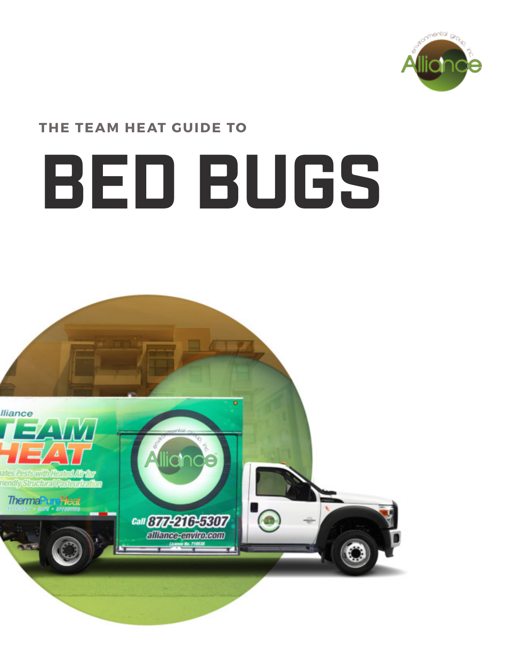

### **THE TEAM HEAT GUIDE TO**

# **BED BUGS**

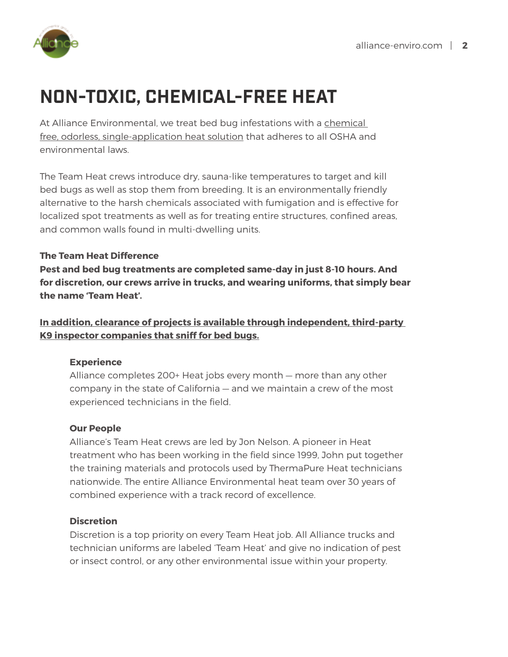

# **NON-TOXIC, CHEMICAL-FREE HEAT**

At Alliance Environmental, we treat bed bug infestations with a chemical free, odorless, single-application heat solution that adheres to all OSHA and environmental laws.

The Team Heat crews introduce dry, sauna-like temperatures to target and kill bed bugs as well as stop them from breeding. It is an environmentally friendly alternative to the harsh chemicals associated with fumigation and is effective for localized spot treatments as well as for treating entire structures, confined areas, and common walls found in multi-dwelling units.

#### **The Team Heat Difference**

**Pest and bed bug treatments are completed same-day in just 8-10 hours. And for discretion, our crews arrive in trucks, and wearing uniforms, that simply bear the name 'Team Heat'.** 

**In addition, clearance of projects is available through independent, third-party K9 inspector companies that sniff for bed bugs.**

#### **Experience**

Alliance completes 200+ Heat jobs every month — more than any other company in the state of California — and we maintain a crew of the most experienced technicians in the field.

#### **Our People**

Alliance's Team Heat crews are led by Jon Nelson. A pioneer in Heat treatment who has been working in the field since 1999, John put together the training materials and protocols used by ThermaPure Heat technicians nationwide. The entire Alliance Environmental heat team over 30 years of combined experience with a track record of excellence.

#### **Discretion**

Discretion is a top priority on every Team Heat job. All Alliance trucks and technician uniforms are labeled 'Team Heat' and give no indication of pest or insect control, or any other environmental issue within your property.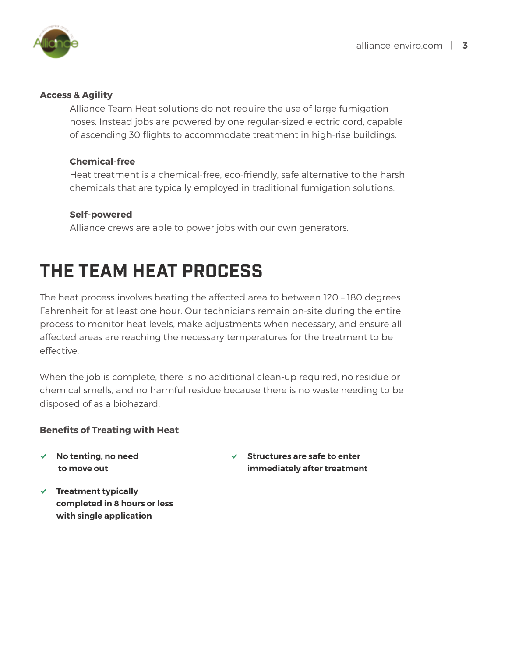

#### **Access & Agility**

Alliance Team Heat solutions do not require the use of large fumigation hoses. Instead jobs are powered by one regular-sized electric cord, capable of ascending 30 flights to accommodate treatment in high-rise buildings.

#### **Chemical-free**

Heat treatment is a chemical-free, eco-friendly, safe alternative to the harsh chemicals that are typically employed in traditional fumigation solutions.

#### **Self-powered**

Alliance crews are able to power jobs with our own generators.

## **THE TEAM HEAT PROCESS**

The heat process involves heating the affected area to between 120 – 180 degrees Fahrenheit for at least one hour. Our technicians remain on-site during the entire process to monitor heat levels, make adjustments when necessary, and ensure all affected areas are reaching the necessary temperatures for the treatment to be effective.

When the job is complete, there is no additional clean-up required, no residue or chemical smells, and no harmful residue because there is no waste needing to be disposed of as a biohazard.

#### **Benefits of Treating with Heat**

% **No tenting, no need to move out**

- % **Structures are safe to enter immediately after treatment**
- % **Treatment typically completed in 8 hours or less with single application**